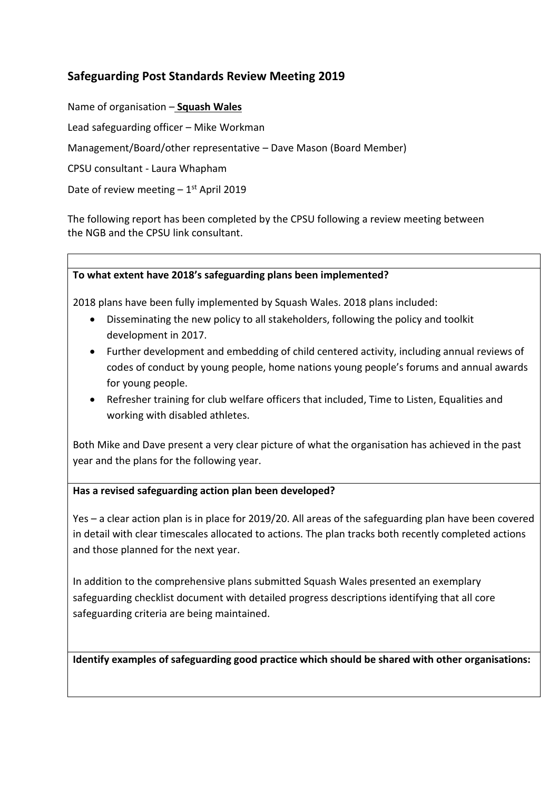## **Safeguarding Post Standards Review Meeting 2019**

Name of organisation – **Squash Wales**

Lead safeguarding officer – Mike Workman

Management/Board/other representative – Dave Mason (Board Member)

CPSU consultant - Laura Whapham

Date of review meeting  $-1$ <sup>st</sup> April 2019

The following report has been completed by the CPSU following a review meeting between the NGB and the CPSU link consultant.

## **To what extent have 2018's safeguarding plans been implemented?**

2018 plans have been fully implemented by Squash Wales. 2018 plans included:

- Disseminating the new policy to all stakeholders, following the policy and toolkit development in 2017.
- Further development and embedding of child centered activity, including annual reviews of codes of conduct by young people, home nations young people's forums and annual awards for young people.
- Refresher training for club welfare officers that included, Time to Listen, Equalities and working with disabled athletes.

Both Mike and Dave present a very clear picture of what the organisation has achieved in the past year and the plans for the following year.

## **Has a revised safeguarding action plan been developed?**

Yes – a clear action plan is in place for 2019/20. All areas of the safeguarding plan have been covered in detail with clear timescales allocated to actions. The plan tracks both recently completed actions and those planned for the next year.

In addition to the comprehensive plans submitted Squash Wales presented an exemplary safeguarding checklist document with detailed progress descriptions identifying that all core safeguarding criteria are being maintained.

**Identify examples of safeguarding good practice which should be shared with other organisations:**